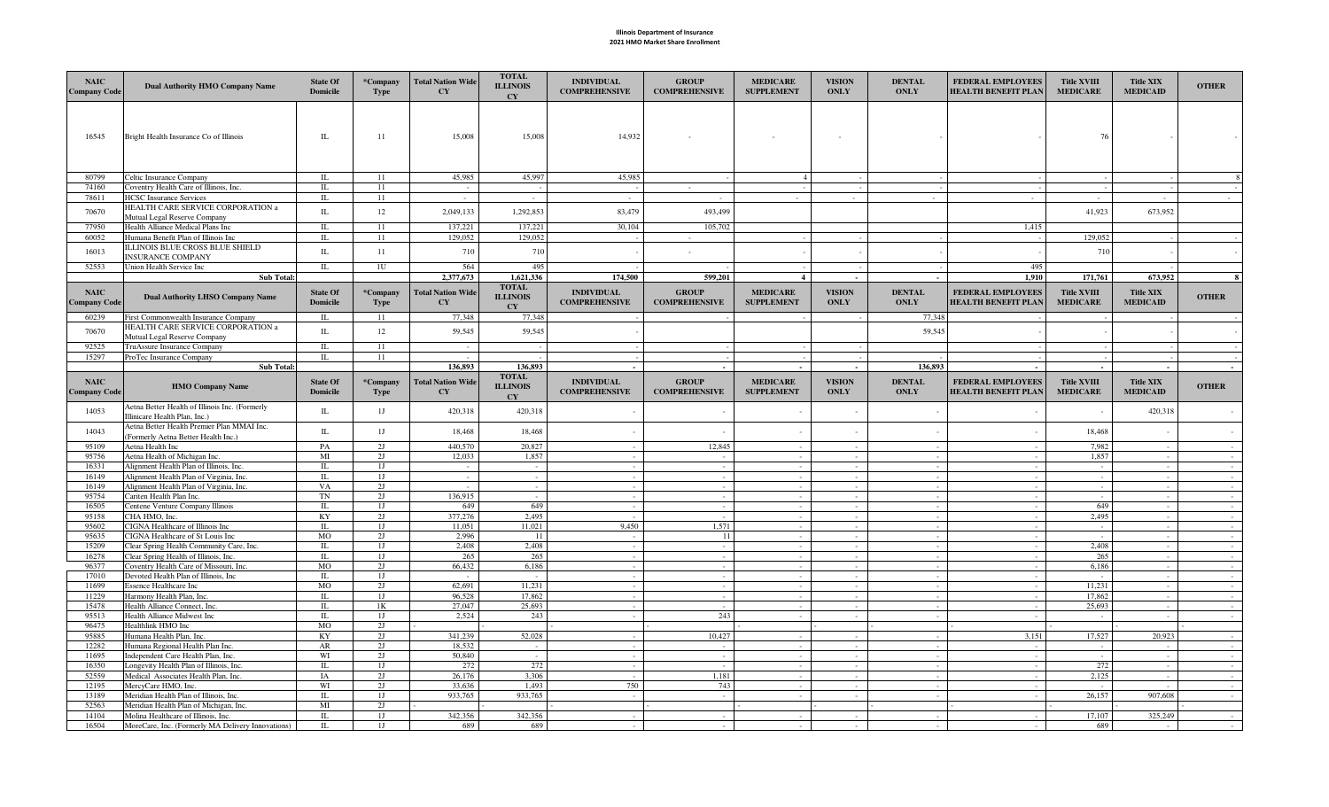## Illinois Department of Insurance 2021 HMO Market Share Enrollment

| <b>NAIC</b><br>Company Code        | <b>Dual Authority HMO Company Name</b>                                                   | <b>State Of</b><br><b>Domicile</b> | *Company<br><b>Type</b> | <b>Total Nation Wide</b><br><b>CY</b> | <b>TOTAL</b><br><b>ILLINOIS</b><br>CY        | <b>INDIVIDUAL</b><br><b>COMPREHENSIVE</b> | <b>GROUP</b><br><b>COMPREHENSIVE</b> | <b>MEDICARE</b><br><b>SUPPLEMENT</b> | <b>VISION</b><br><b>ONLY</b> | <b>DENTAL</b><br><b>ONLY</b> | <b>FEDERAL EMPLOYEES</b><br><b>HEALTH BENEFIT PLAN</b> | <b>Title XVIII</b><br><b>MEDICARE</b> | <b>Title XIX</b><br><b>MEDICAID</b> | <b>OTHER</b>     |
|------------------------------------|------------------------------------------------------------------------------------------|------------------------------------|-------------------------|---------------------------------------|----------------------------------------------|-------------------------------------------|--------------------------------------|--------------------------------------|------------------------------|------------------------------|--------------------------------------------------------|---------------------------------------|-------------------------------------|------------------|
| 16545                              | Bright Health Insurance Co of Illinois                                                   | $\rm IL$                           | 11                      | 15,008                                | 15,008                                       | 14,932                                    |                                      | $\sim$                               | $\sim$                       |                              |                                                        | 76                                    |                                     |                  |
| 80799                              | Celtic Insurance Company                                                                 | IL                                 | 11                      | 45,985                                | 45,997                                       | 45,985                                    |                                      | $\overline{4}$                       |                              |                              |                                                        |                                       |                                     |                  |
| 74160                              | Coventry Health Care of Illinois, Inc.                                                   | IL                                 | 11                      |                                       |                                              |                                           |                                      |                                      |                              |                              |                                                        |                                       |                                     |                  |
| 78611                              | <b>HCSC</b> Insurance Services                                                           | IL                                 | 11                      | $\sim$                                | $\sim$                                       | $\sim$                                    | $\sim$                               |                                      |                              |                              |                                                        | $\sim$                                | $\sim$                              |                  |
| 70670                              | <b>IEALTH CARE SERVICE CORPORATION a</b><br>Mutual Legal Reserve Company                 | $\rm IL$                           | 12                      | 2,049,133                             | 1,292,853                                    | 83,479                                    | 493,499                              |                                      |                              |                              |                                                        | 41,923                                | 673,952                             |                  |
| 77950                              | Health Alliance Medical Plans Inc                                                        | IL                                 | 11                      | 137.221                               | 137,221                                      | 30,104                                    | 105,702                              |                                      |                              |                              | 1,415                                                  |                                       |                                     |                  |
| 60052                              | Humana Benefit Plan of Illinois Inc                                                      | IL                                 | 11                      | 129,052                               | 129,052                                      |                                           |                                      |                                      |                              |                              |                                                        | 129,052                               |                                     |                  |
| 16013                              | LLINOIS BLUE CROSS BLUE SHIELD<br>INSURANCE COMPANY                                      | IL                                 | 11                      | 710                                   | 710                                          |                                           |                                      |                                      |                              |                              |                                                        | 710                                   |                                     |                  |
| 52553                              | Union Health Service Inc                                                                 | IL                                 | 10                      | 564                                   | 495                                          |                                           |                                      |                                      |                              |                              | 495                                                    |                                       |                                     |                  |
|                                    | <b>Sub Total:</b>                                                                        |                                    |                         | 2,377,673                             | 1,621,336                                    | 174,500                                   | 599,201                              | $\overline{4}$                       |                              |                              | 1.910                                                  | 171,761                               | 673,952                             | $\mathbf{R}$     |
| <b>NAIC</b><br><b>Company Code</b> | <b>Dual Authority LHSO Company Name</b>                                                  | <b>State Of</b><br><b>Domicile</b> | *Company<br><b>Type</b> | <b>Total Nation Wide</b><br><b>CY</b> | <b>TOTAL</b><br><b>ILLINOIS</b><br><b>CY</b> | <b>INDIVIDUAL</b><br><b>COMPREHENSIVE</b> | <b>GROUP</b><br><b>COMPREHENSIVE</b> | <b>MEDICARE</b><br><b>SUPPLEMENT</b> | <b>VISION</b><br><b>ONLY</b> | <b>DENTAL</b><br><b>ONLY</b> | FEDERAL EMPLOYEES<br><b>HEALTH BENEFIT PLAN</b>        | <b>Title XVIII</b><br><b>MEDICARE</b> | <b>Title XIX</b><br><b>MEDICAID</b> | <b>OTHER</b>     |
| 60239                              | First Commonwealth Insurance Company                                                     | IL.                                | 11                      | 77,348                                | 77,348                                       |                                           |                                      |                                      |                              | 77,348                       |                                                        |                                       |                                     |                  |
| 70670                              | <b>IEALTH CARE SERVICE CORPORATION a</b><br>Mutual Legal Reserve Company                 | $\rm IL$                           | 12                      | 59,545                                | 59,545                                       |                                           |                                      |                                      |                              | 59,545                       |                                                        |                                       |                                     |                  |
| 92525                              | TruAssure Insurance Company                                                              | IL                                 | 11                      |                                       |                                              |                                           |                                      |                                      |                              |                              |                                                        |                                       |                                     |                  |
| 15297                              | ProTec Insurance Company                                                                 | $\rm IL$                           | 11                      |                                       |                                              |                                           |                                      |                                      |                              |                              |                                                        |                                       |                                     |                  |
|                                    | <b>Sub Total:</b>                                                                        |                                    |                         | 136,893                               | 136,893                                      |                                           |                                      |                                      | $\sim$                       | 136,893                      |                                                        |                                       |                                     |                  |
| <b>NAIC</b><br><b>Company Code</b> | <b>HMO Company Name</b>                                                                  | <b>State Of</b><br><b>Domicile</b> | *Company<br>Type        | <b>Total Nation Wide</b><br>CY        | <b>TOTAL</b><br><b>ILLINOIS</b><br><b>CY</b> | <b>INDIVIDUAL</b><br><b>COMPREHENSIVE</b> | <b>GROUP</b><br><b>COMPREHENSIVE</b> | <b>MEDICARE</b><br><b>SUPPLEMENT</b> | <b>VISION</b><br><b>ONLY</b> | <b>DENTAL</b><br><b>ONLY</b> | FEDERAL EMPLOYEES<br><b>HEALTH BENEFIT PLAN</b>        | <b>Title XVIII</b><br><b>MEDICARE</b> | <b>Title XIX</b><br><b>MEDICAID</b> | <b>OTHER</b>     |
| 14053                              | Aetna Better Health of Illinois Inc. (Formerly<br>Illinicare Health Plan, Inc.)          | $\rm IL$                           | 1J                      | 420,318                               | 420,318                                      |                                           |                                      |                                      |                              |                              |                                                        |                                       | 420,318                             |                  |
| 14043                              | Aetna Better Health Premier Plan MMAI Inc.<br>Formerly Aetna Better Health Inc.)         | $\rm IL$                           | 1J                      | 18,468                                | 18,468                                       |                                           |                                      |                                      |                              |                              |                                                        | 18,468                                |                                     |                  |
| 95109                              | Aetna Health Inc                                                                         | PA                                 | 2J                      | 440,570                               | 20,827                                       |                                           | 12,845                               |                                      |                              |                              |                                                        | 7.982                                 |                                     |                  |
| 95756                              | Aetna Health of Michigan Inc.                                                            | MI                                 | 2J                      | 12,033                                | 1,857                                        |                                           |                                      |                                      |                              |                              |                                                        | 1,857                                 | $\sim$                              |                  |
| 16331<br>16149                     | Alignment Health Plan of Illinois, Inc.<br>Alignment Health Plan of Virginia, Inc        | $\mathbb{L}$<br>IL                 | 1J<br>1J                | $\sim$<br>$\sim$                      | $\sim$<br>$\sim$                             | $\sim$                                    | $\sim$                               |                                      | $\sim$                       |                              |                                                        | $\sim$<br>$\sim$                      | $\sim$<br>$\sim$                    | $\sim$<br>$\sim$ |
| 16149                              | Alignment Health Plan of Virginia, Inc.                                                  | VA                                 | 2J                      | $\sim$                                | $\sim$                                       |                                           | $\sim$                               |                                      |                              |                              |                                                        | $\sim$                                | $\sim$                              | $\sim$           |
| 95754                              | Cariten Health Plan Inc.                                                                 | TN                                 | 2J                      | 136,915                               |                                              |                                           |                                      |                                      |                              |                              |                                                        | $\sim$                                | $\sim$                              |                  |
| 16505                              | Centene Venture Company Illinois                                                         | IL                                 | 1J                      | 649                                   | 649                                          | $\sim$                                    | $\sim$                               |                                      | $\sim$                       | $\sim$                       |                                                        | 649                                   | $\sim$                              | $\sim$           |
| 95158<br>95602                     | CHA HMO, Inc.<br>CIGNA Healthcare of Illinois Inc                                        | KY<br>IL                           | 2J<br>1J                | 377,276<br>11,051                     | 2,495<br>11,021                              | 9.450                                     | $\sim$<br>1,571                      | $\sim$                               | $\sim$<br>$\sim$             | $\sim$                       |                                                        | 2,495<br>$\sim$                       | $\sim$<br>$\sim$                    | $\sim$<br>$\sim$ |
| 95635                              | CIGNA Healthcare of St Louis Inc                                                         | <b>MO</b>                          | 2I                      | 2.996                                 | -11                                          |                                           | 11                                   |                                      |                              |                              |                                                        |                                       |                                     |                  |
| 15209                              | Clear Spring Health Community Care, Inc.                                                 | IL                                 | 1J                      | 2.408                                 | 2.408                                        |                                           | $\sim$                               |                                      |                              |                              |                                                        | 2.408                                 | $\sim$                              | $\sim$           |
| 16278                              | Clear Spring Health of Illinois, Inc.                                                    | IL                                 | 1J                      | 265                                   | 265                                          |                                           |                                      |                                      |                              |                              |                                                        | 265                                   |                                     |                  |
| 96377<br>17010                     | Coventry Health Care of Missouri, Inc.<br>Devoted Health Plan of Illinois, Inc           | <b>MO</b><br>IL                    | 2J<br>1J                | 66,432<br>÷.                          | 6.186                                        | $\sim$                                    | $\sim$<br>$\sim$                     |                                      | $\sim$                       |                              |                                                        | 6.186                                 | $\sim$<br>$\sim$                    | $\sim$<br>$\sim$ |
| 11699                              | <b>Essence Healthcare Inc</b>                                                            | M <sub>O</sub>                     | 2J                      | 62,691                                | 11,231                                       |                                           | $\overline{\phantom{a}}$             |                                      |                              |                              |                                                        | 11,231                                |                                     |                  |
| 11229                              | Harmony Health Plan, Inc                                                                 | IL                                 | 1J                      | 96,528                                | 17,862                                       |                                           | $\sim$                               |                                      |                              |                              |                                                        | 17.862                                | $\sim$                              | $\sim$           |
| 15478                              | Health Alliance Connect, Inc                                                             | IL                                 | 1 <sub>K</sub>          | 27,047                                | 25,693                                       |                                           | $\sim$                               |                                      |                              |                              |                                                        | 25,693                                | $\sim$                              | $\sim$           |
| 95513<br>96475                     | Health Alliance Midwest Inc                                                              | IL<br><b>MO</b>                    | 1J<br>2J                | 2,524                                 | 243                                          |                                           | 243                                  |                                      |                              |                              |                                                        |                                       |                                     |                  |
| 95885                              | Healthlink HMO Inc<br>Humana Health Plan, Inc                                            | KY                                 | 2I                      | 341,239                               | 52,028                                       |                                           | 10,427                               |                                      |                              |                              | 3,151                                                  | 17,527                                | 20,923                              |                  |
| 12282                              | Humana Regional Health Plan Inc.                                                         |                                    |                         |                                       |                                              |                                           |                                      |                                      | $\sim$                       |                              |                                                        |                                       |                                     | $\sim$           |
|                                    |                                                                                          | AR                                 | 2J                      | 18,532                                |                                              |                                           |                                      |                                      |                              |                              |                                                        |                                       |                                     |                  |
| 11695                              | Independent Care Health Plan, Inc.                                                       | WI                                 | 2J                      | 50,840                                | $\sim$                                       |                                           | $\sim$                               |                                      |                              |                              |                                                        | $\sim$                                | $\sim$                              | $\sim$           |
| 16350                              | ongevity Health Plan of Illinois, Inc.                                                   | IL                                 | 1J                      | 272                                   | 272                                          |                                           | $\sim$                               |                                      |                              |                              |                                                        | 272                                   | $\sim$                              | $\sim$           |
| 52559                              | Medical Associates Health Plan, Inc.                                                     | IA                                 | 2J<br>2J                | 26,176<br>33,636                      | 3.306<br>1.493                               |                                           | 1.181                                |                                      |                              |                              |                                                        | 2,125                                 | $\sim$                              | $\sim$<br>$\sim$ |
| 12195<br>13189                     | MercyCare HMO, Inc.<br>Meridian Health Plan of Illinois, Inc.                            | WI<br>IL                           | 1J                      | 933,765                               | 933,765                                      | 750<br>$\sim$                             | 743<br>$\sim$                        |                                      | $\sim$                       | $\sim$                       |                                                        | 26.157                                | 907,608                             | $\sim$           |
| 52563                              | Meridian Health Plan of Michigan, Inc                                                    | MI                                 | 2J                      |                                       |                                              |                                           |                                      |                                      |                              |                              |                                                        |                                       |                                     |                  |
| 14104<br>16504                     | Molina Healthcare of Illinois, Inc.<br>MoreCare, Inc. (Formerly MA Delivery Innovations) | IL<br>IL                           | 1J<br>1J                | 342,356<br>689                        | 342,356<br>689                               |                                           |                                      |                                      |                              |                              |                                                        | 17,107<br>689                         | 325,249                             |                  |